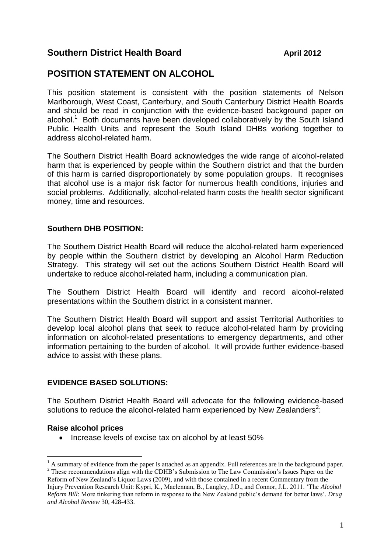### **Southern District Health Board April 2012**

# **POSITION STATEMENT ON ALCOHOL**

This position statement is consistent with the position statements of Nelson Marlborough, West Coast, Canterbury, and South Canterbury District Health Boards and should be read in conjunction with the evidence-based background paper on alcohol.<sup>1</sup> Both documents have been developed collaboratively by the South Island Public Health Units and represent the South Island DHBs working together to address alcohol-related harm.

The Southern District Health Board acknowledges the wide range of alcohol-related harm that is experienced by people within the Southern district and that the burden of this harm is carried disproportionately by some population groups. It recognises that alcohol use is a major risk factor for numerous health conditions, injuries and social problems. Additionally, alcohol-related harm costs the health sector significant money, time and resources.

### **Southern DHB POSITION:**

The Southern District Health Board will reduce the alcohol-related harm experienced by people within the Southern district by developing an Alcohol Harm Reduction Strategy. This strategy will set out the actions Southern District Health Board will undertake to reduce alcohol-related harm, including a communication plan.

The Southern District Health Board will identify and record alcohol-related presentations within the Southern district in a consistent manner.

The Southern District Health Board will support and assist Territorial Authorities to develop local alcohol plans that seek to reduce alcohol-related harm by providing information on alcohol-related presentations to emergency departments, and other information pertaining to the burden of alcohol. It will provide further evidence-based advice to assist with these plans.

#### **EVIDENCE BASED SOLUTIONS:**

The Southern District Health Board will advocate for the following evidence-based solutions to reduce the alcohol-related harm experienced by New Zealanders<sup>2</sup>:

#### **Raise alcohol prices**

1

• Increase levels of excise tax on alcohol by at least 50%

<sup>1</sup> A summary of evidence from the paper is attached as an appendix. Full references are in the background paper. <sup>2</sup> These recommendations align with the CDHB's Submission to The Law Commission's Issues Paper on the Reform of New Zealand's Liquor Laws (2009), and with those contained in a recent Commentary from the Injury Prevention Research Unit: Kypri, K., Maclennan, B., Langley, J.D., and Connor, J.L. 2011. 'The *Alcohol Reform Bill*: More tinkering than reform in response to the New Zealand public's demand for better laws'. *Drug and Alcohol Review* 30, 428-433.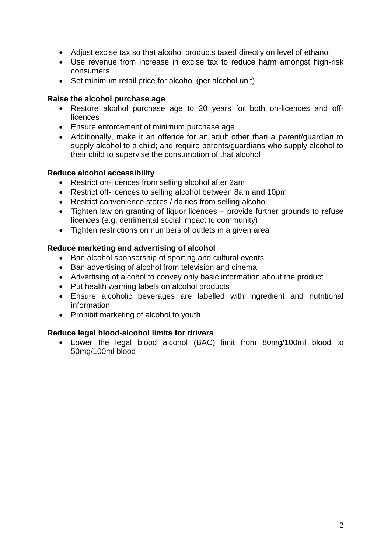- Adjust excise tax so that alcohol products taxed directly on level of ethanol
- Use revenue from increase in excise tax to reduce harm amongst high-risk consumers
- Set minimum retail price for alcohol (per alcohol unit)

#### **Raise the alcohol purchase age**

- Restore alcohol purchase age to 20 years for both on-licences and offlicences
- Ensure enforcement of minimum purchase age
- Additionally, make it an offence for an adult other than a parent/guardian to supply alcohol to a child; and require parents/guardians who supply alcohol to their child to supervise the consumption of that alcohol

#### **Reduce alcohol accessibility**

- Restrict on-licences from selling alcohol after 2am
- Restrict off-licences to selling alcohol between 8am and 10pm
- Restrict convenience stores / dairies from selling alcohol
- Tighten law on granting of liquor licences provide further grounds to refuse licences (e.g. detrimental social impact to community)
- Tighten restrictions on numbers of outlets in a given area

### **Reduce marketing and advertising of alcohol**

- Ban alcohol sponsorship of sporting and cultural events
- Ban advertising of alcohol from television and cinema
- Advertising of alcohol to convey only basic information about the product
- Put health warning labels on alcohol products
- Ensure alcoholic beverages are labelled with ingredient and nutritional information
- Prohibit marketing of alcohol to youth

### **Reduce legal blood-alcohol limits for drivers**

 Lower the legal blood alcohol (BAC) limit from 80mg/100ml blood to 50mg/100ml blood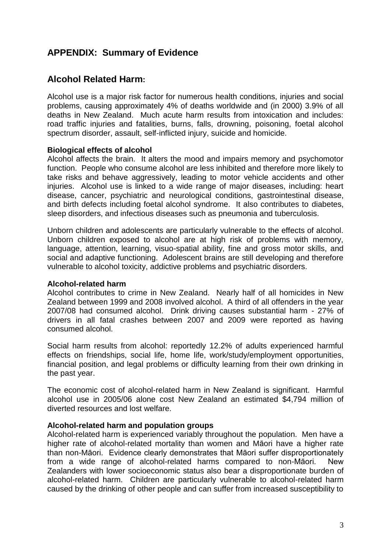# **APPENDIX: Summary of Evidence**

# **Alcohol Related Harm:**

Alcohol use is a major risk factor for numerous health conditions, injuries and social problems, causing approximately 4% of deaths worldwide and (in 2000) 3.9% of all deaths in New Zealand. Much acute harm results from intoxication and includes: road traffic injuries and fatalities, burns, falls, drowning, poisoning, foetal alcohol spectrum disorder, assault, self-inflicted injury, suicide and homicide.

#### **Biological effects of alcohol**

Alcohol affects the brain. It alters the mood and impairs memory and psychomotor function. People who consume alcohol are less inhibited and therefore more likely to take risks and behave aggressively, leading to motor vehicle accidents and other injuries. Alcohol use is linked to a wide range of major diseases, including: heart disease, cancer, psychiatric and neurological conditions, gastrointestinal disease, and birth defects including foetal alcohol syndrome. It also contributes to diabetes, sleep disorders, and infectious diseases such as pneumonia and tuberculosis.

Unborn children and adolescents are particularly vulnerable to the effects of alcohol. Unborn children exposed to alcohol are at high risk of problems with memory, language, attention, learning, visuo-spatial ability, fine and gross motor skills, and social and adaptive functioning. Adolescent brains are still developing and therefore vulnerable to alcohol toxicity, addictive problems and psychiatric disorders.

#### **Alcohol-related harm**

Alcohol contributes to crime in New Zealand. Nearly half of all homicides in New Zealand between 1999 and 2008 involved alcohol. A third of all offenders in the year 2007/08 had consumed alcohol. Drink driving causes substantial harm - 27% of drivers in all fatal crashes between 2007 and 2009 were reported as having consumed alcohol.

Social harm results from alcohol: reportedly 12.2% of adults experienced harmful effects on friendships, social life, home life, work/study/employment opportunities, financial position, and legal problems or difficulty learning from their own drinking in the past year.

The economic cost of alcohol-related harm in New Zealand is significant. Harmful alcohol use in 2005/06 alone cost New Zealand an estimated \$4,794 million of diverted resources and lost welfare.

#### **Alcohol-related harm and population groups**

Alcohol-related harm is experienced variably throughout the population. Men have a higher rate of alcohol-related mortality than women and Māori have a higher rate than non-Māori. Evidence clearly demonstrates that Māori suffer disproportionately from a wide range of alcohol-related harms compared to non-Māori. New Zealanders with lower socioeconomic status also bear a disproportionate burden of alcohol-related harm. Children are particularly vulnerable to alcohol-related harm caused by the drinking of other people and can suffer from increased susceptibility to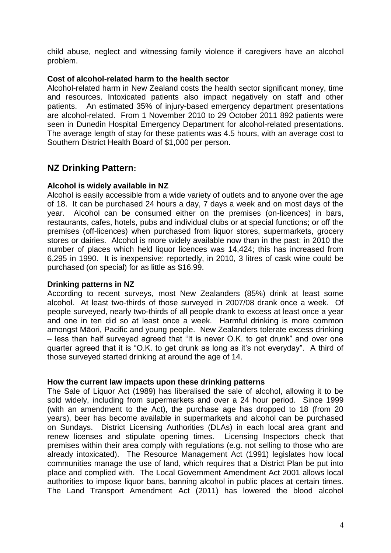child abuse, neglect and witnessing family violence if caregivers have an alcohol problem.

#### **Cost of alcohol-related harm to the health sector**

Alcohol-related harm in New Zealand costs the health sector significant money, time and resources. Intoxicated patients also impact negatively on staff and other patients. An estimated 35% of injury-based emergency department presentations are alcohol-related. From 1 November 2010 to 29 October 2011 892 patients were seen in Dunedin Hospital Emergency Department for alcohol-related presentations. The average length of stay for these patients was 4.5 hours, with an average cost to Southern District Health Board of \$1,000 per person.

# **NZ Drinking Pattern:**

### **Alcohol is widely available in NZ**

Alcohol is easily accessible from a wide variety of outlets and to anyone over the age of 18. It can be purchased 24 hours a day, 7 days a week and on most days of the year. Alcohol can be consumed either on the premises (on-licences) in bars, restaurants, cafes, hotels, pubs and individual clubs or at special functions; or off the premises (off-licences) when purchased from liquor stores, supermarkets, grocery stores or dairies. Alcohol is more widely available now than in the past: in 2010 the number of places which held liquor licences was 14,424; this has increased from 6,295 in 1990. It is inexpensive: reportedly, in 2010, 3 litres of cask wine could be purchased (on special) for as little as \$16.99.

#### **Drinking patterns in NZ**

According to recent surveys, most New Zealanders (85%) drink at least some alcohol. At least two-thirds of those surveyed in 2007/08 drank once a week. Of people surveyed, nearly two-thirds of all people drank to excess at least once a year and one in ten did so at least once a week. Harmful drinking is more common amongst Māori, Pacific and young people. New Zealanders tolerate excess drinking – less than half surveyed agreed that "It is never O.K. to get drunk" and over one quarter agreed that it is "O.K. to get drunk as long as it"s not everyday". A third of those surveyed started drinking at around the age of 14.

#### **How the current law impacts upon these drinking patterns**

The Sale of Liquor Act (1989) has liberalised the sale of alcohol, allowing it to be sold widely, including from supermarkets and over a 24 hour period. Since 1999 (with an amendment to the Act), the purchase age has dropped to 18 (from 20 years), beer has become available in supermarkets and alcohol can be purchased on Sundays. District Licensing Authorities (DLAs) in each local area grant and renew licenses and stipulate opening times. Licensing Inspectors check that premises within their area comply with regulations (e.g. not selling to those who are already intoxicated). The Resource Management Act (1991) legislates how local communities manage the use of land, which requires that a District Plan be put into place and complied with. The Local Government Amendment Act 2001 allows local authorities to impose liquor bans, banning alcohol in public places at certain times. The Land Transport Amendment Act (2011) has lowered the blood alcohol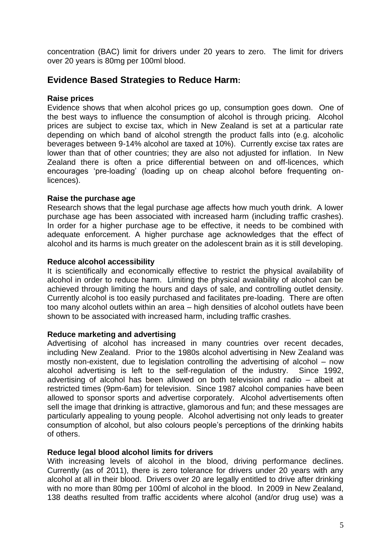concentration (BAC) limit for drivers under 20 years to zero. The limit for drivers over 20 years is 80mg per 100ml blood.

## **Evidence Based Strategies to Reduce Harm:**

#### **Raise prices**

Evidence shows that when alcohol prices go up, consumption goes down. One of the best ways to influence the consumption of alcohol is through pricing. Alcohol prices are subject to excise tax, which in New Zealand is set at a particular rate depending on which band of alcohol strength the product falls into (e.g. alcoholic beverages between 9-14% alcohol are taxed at 10%). Currently excise tax rates are lower than that of other countries; they are also not adjusted for inflation. In New Zealand there is often a price differential between on and off-licences, which encourages "pre-loading" (loading up on cheap alcohol before frequenting onlicences).

### **Raise the purchase age**

Research shows that the legal purchase age affects how much youth drink. A lower purchase age has been associated with increased harm (including traffic crashes). In order for a higher purchase age to be effective, it needs to be combined with adequate enforcement. A higher purchase age acknowledges that the effect of alcohol and its harms is much greater on the adolescent brain as it is still developing.

#### **Reduce alcohol accessibility**

It is scientifically and economically effective to restrict the physical availability of alcohol in order to reduce harm. Limiting the physical availability of alcohol can be achieved through limiting the hours and days of sale, and controlling outlet density. Currently alcohol is too easily purchased and facilitates pre-loading. There are often too many alcohol outlets within an area – high densities of alcohol outlets have been shown to be associated with increased harm, including traffic crashes.

#### **Reduce marketing and advertising**

Advertising of alcohol has increased in many countries over recent decades, including New Zealand. Prior to the 1980s alcohol advertising in New Zealand was mostly non-existent, due to legislation controlling the advertising of alcohol – now alcohol advertising is left to the self-regulation of the industry. Since 1992, advertising of alcohol has been allowed on both television and radio – albeit at restricted times (9pm-6am) for television. Since 1987 alcohol companies have been allowed to sponsor sports and advertise corporately. Alcohol advertisements often sell the image that drinking is attractive, glamorous and fun; and these messages are particularly appealing to young people. Alcohol advertising not only leads to greater consumption of alcohol, but also colours people"s perceptions of the drinking habits of others.

#### **Reduce legal blood alcohol limits for drivers**

With increasing levels of alcohol in the blood, driving performance declines. Currently (as of 2011), there is zero tolerance for drivers under 20 years with any alcohol at all in their blood. Drivers over 20 are legally entitled to drive after drinking with no more than 80mg per 100ml of alcohol in the blood. In 2009 in New Zealand, 138 deaths resulted from traffic accidents where alcohol (and/or drug use) was a